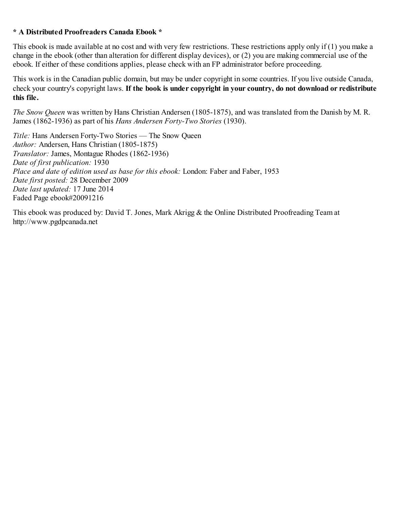#### **\* A Distributed Proofreaders Canada Ebook \***

This ebook is made available at no cost and with very few restrictions. These restrictions apply only if (1) you make a change in the ebook (other than alteration for different display devices), or (2) you are making commercial use of the ebook. If either of these conditions applies, please check with an FP administrator before proceeding.

This work is in the Canadian public domain, but may be under copyright in some countries. If you live outside Canada, check your country's copyright laws. **If the book is under copyright in your country, do not download or redistribute this file.**

*The Snow Queen* was written by Hans Christian Andersen (1805-1875), and was translated from the Danish by M. R. James (1862-1936) as part of his *Hans Andersen Forty-Two Stories* (1930).

*Title:* Hans Andersen Forty-Two Stories — The Snow Queen *Author:* Andersen, Hans Christian (1805-1875) *Translator:* James, Montague Rhodes (1862-1936) *Date of first publication:* 1930 *Place and date of edition used as base for this ebook:* London: Faber and Faber, 1953 *Date first posted:* 28 December 2009 *Date last updated:* 17 June 2014 Faded Page ebook#20091216

This ebook was produced by: David T. Jones, Mark Akrigg & the Online Distributed Proofreading Team at http://www.pgdpcanada.net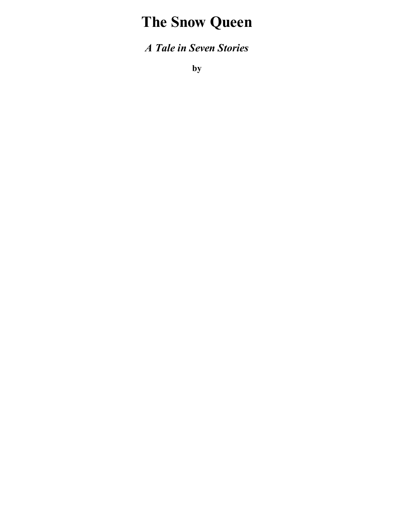# **The Snow Queen**

*A Tale in Seven Stories*

**by**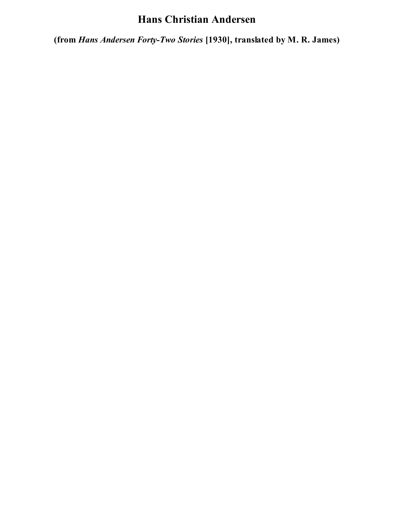# **Hans Christian Andersen**

**(from** *Hans Andersen Forty-Two Stories* **[1930], translated by M. R. James)**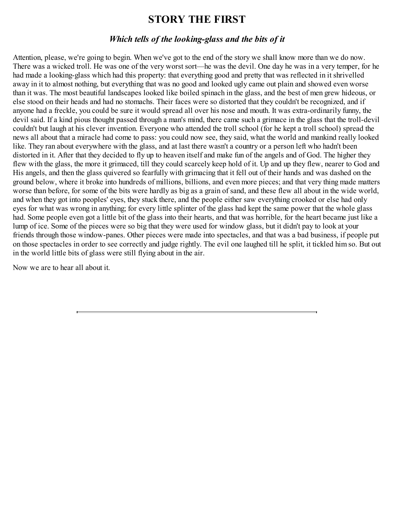### **STORY THE FIRST**

#### *Which tells of the looking-glass and the bits of it*

Attention, please, we're going to begin. When we've got to the end of the story we shall know more than we do now. There was a wicked troll. He was one of the very worst sort—he was the devil. One day he was in a very temper, for he had made a looking-glass which had this property: that everything good and pretty that was reflected in it shrivelled away in it to almost nothing, but everything that was no good and looked ugly came out plain and showed even worse than it was. The most beautiful landscapes looked like boiled spinach in the glass, and the best of men grew hideous, or else stood on their heads and had no stomachs. Their faces were so distorted that they couldn't be recognized, and if anyone had a freckle, you could be sure it would spread all over his nose and mouth. It was extra-ordinarily funny, the devil said. If a kind pious thought passed through a man's mind, there came such a grimace in the glass that the troll-devil couldn't but laugh at his clever invention. Everyone who attended the troll school (for he kept a troll school) spread the news all about that a miracle had come to pass: you could now see, they said, what the world and mankind really looked like. They ran about everywhere with the glass, and at last there wasn't a country or a person left who hadn't been distorted in it. After that they decided to fly up to heaven itself and make fun of the angels and of God. The higher they flew with the glass, the more it grimaced, till they could scarcely keep hold of it. Up and up they flew, nearer to God and His angels, and then the glass quivered so fearfully with grimacing that it fell out of their hands and was dashed on the ground below, where it broke into hundreds of millions, billions, and even more pieces; and that very thing made matters worse than before, for some of the bits were hardly as big as a grain of sand, and these flew all about in the wide world, and when they got into peoples' eyes, they stuck there, and the people either saw everything crooked or else had only eyes for what was wrong in anything; for every little splinter of the glass had kept the same power that the whole glass had. Some people even got a little bit of the glass into their hearts, and that was horrible, for the heart became just like a lump of ice. Some of the pieces were so big that they were used for window glass, but it didn't pay to look at your friends through those window-panes. Other pieces were made into spectacles, and that was a bad business, if people put on those spectacles in order to see correctly and judge rightly. The evil one laughed till he split, it tickled him so. But out in the world little bits of glass were still flying about in the air.

Now we are to hear all about it.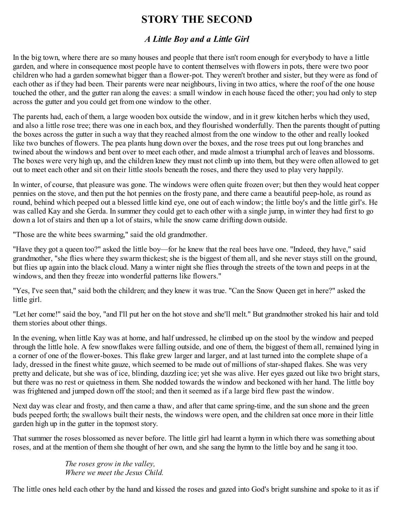# **STORY THE SECOND**

### *A Little Boy and a Little Girl*

In the big town, where there are so many houses and people that there isn't room enough for everybody to have a little garden, and where in consequence most people have to content themselves with flowers in pots, there were two poor children who had a garden somewhat bigger than a flower-pot. They weren't brother and sister, but they were as fond of each other as if they had been. Their parents were near neighbours, living in two attics, where the roof of the one house touched the other, and the gutter ran along the eaves: a small window in each house faced the other; you had only to step across the gutter and you could get from one window to the other.

The parents had, each of them, a large wooden box outside the window, and in it grew kitchen herbs which they used, and also a little rose tree; there was one in each box, and they flourished wonderfully. Then the parents thought of putting the boxes across the gutter in such a way that they reached almost from the one window to the other and really looked like two bunches of flowers. The pea plants hung down over the boxes, and the rose trees put out long branches and twined about the windows and bent over to meet each other, and made almost a triumphal arch of leaves and blossoms. The boxes were very high up, and the children knew they must not climb up into them, but they were often allowed to get out to meet each other and sit on their little stools beneath the roses, and there they used to play very happily.

In winter, of course, that pleasure was gone. The windows were often quite frozen over; but then they would heat copper pennies on the stove, and then put the hot pennies on the frosty pane, and there came a beautiful peep-hole, as round as round, behind which peeped out a blessed little kind eye, one out of each window; the little boy's and the little girl's. He was called Kay and she Gerda. In summer they could get to each other with a single jump, in winter they had first to go down a lot of stairs and then up a lot of stairs, while the snow came drifting down outside.

"Those are the white bees swarming," said the old grandmother.

"Have they got a queen too?" asked the little boy—for he knew that the real bees have one. "Indeed, they have," said grandmother, "she flies where they swarm thickest; she is the biggest of them all, and she never stays still on the ground, but flies up again into the black cloud. Many a winter night she flies through the streets of the town and peeps in at the windows, and then they freeze into wonderful patterns like flowers."

"Yes, I've seen that," said both the children; and they knew it was true. "Can the Snow Queen get in here?" asked the little girl.

"Let her come!" said the boy, "and I'll put her on the hot stove and she'll melt." But grandmother stroked his hair and told them stories about other things.

In the evening, when little Kay was at home, and half undressed, he climbed up on the stool by the window and peeped through the little hole. A few snowflakes were falling outside, and one of them, the biggest of them all, remained lying in a corner of one of the flower-boxes. This flake grew larger and larger, and at last turned into the complete shape of a lady, dressed in the finest white gauze, which seemed to be made out of millions of star-shaped flakes. She was very pretty and delicate, but she was of ice, blinding, dazzling ice; yet she was alive. Her eyes gazed out like two bright stars, but there was no rest or quietness in them. She nodded towards the window and beckoned with her hand. The little boy was frightened and jumped down off the stool; and then it seemed as if a large bird flew past the window.

Next day was clear and frosty, and then came a thaw, and after that came spring-time, and the sun shone and the green buds peeped forth; the swallows built their nests, the windows were open, and the children sat once more in their little garden high up in the gutter in the topmost story.

That summer the roses blossomed as never before. The little girl had learnt a hymn in which there was something about roses, and at the mention of them she thought of her own, and she sang the hymn to the little boy and he sang it too.

> *The roses grow in the valley, Where we meet the Jesus Child.*

The little ones held each other by the hand and kissed the roses and gazed into God's bright sunshine and spoke to it as if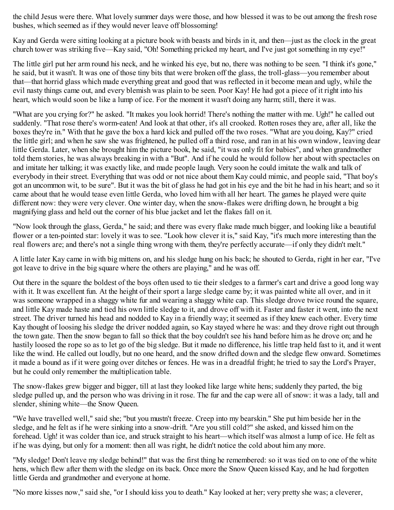the child Jesus were there. What lovely summer days were those, and how blessed it was to be out among the fresh rose bushes, which seemed as if they would never leave off blossoming!

Kay and Gerda were sitting looking at a picture book with beasts and birds in it, and then—just as the clock in the great church tower was striking five—Kay said, "Oh! Something pricked my heart, and I've just got something in my eye!"

The little girl put her arm round his neck, and he winked his eye, but no, there was nothing to be seen. "I think it's gone," he said, but it wasn't. It was one of those tiny bits that were broken off the glass, the troll-glass—you remember about that—that horrid glass which made everything great and good that was reflected in it become mean and ugly, while the evil nasty things came out, and every blemish was plain to be seen. Poor Kay! He had got a piece of it right into his heart, which would soon be like a lump of ice. For the moment it wasn't doing any harm; still, there it was.

"What are you crying for?" he asked. "It makes you look horrid! There's nothing the matter with me. Ugh!" he called out suddenly. "That rose there's worm-eaten! And look at that other, it's all crooked. Rotten roses they are, after all, like the boxes they're in." With that he gave the box a hard kick and pulled off the two roses. "What are you doing, Kay?" cried the little girl; and when he saw she was frightened, he pulled off a third rose, and ran in at his own window, leaving dear little Gerda. Later, when she brought him the picture book, he said, "it was only fit for babies", and when grandmother told them stories, he was always breaking in with a "But". And if he could he would follow her about with spectacles on and imitate her talking; it was exactly like, and made people laugh. Very soon he could imitate the walk and talk of everybody in their street. Everything that was odd or not nice about them Kay could mimic, and people said, "That boy's got an uncommon wit, to be sure". But it was the bit of glass he had got in his eye and the bit he had in his heart; and so it came about that he would tease even little Gerda, who loved him with all her heart. The games he played were quite different now: they were very clever. One winter day, when the snow-flakes were drifting down, he brought a big magnifying glass and held out the corner of his blue jacket and let the flakes fall on it.

"Now look through the glass, Gerda," he said; and there was every flake made much bigger, and looking like a beautiful flower or a ten-pointed star: lovely it was to see. "Look how clever it is," said Kay, "it's much more interesting than the real flowers are; and there's not a single thing wrong with them, they're perfectly accurate—if only they didn't melt."

A little later Kay came in with big mittens on, and his sledge hung on his back; he shouted to Gerda, right in her ear, "I've got leave to drive in the big square where the others are playing," and he was off.

Out there in the square the boldest of the boys often used to tie their sledges to a farmer's cart and drive a good long way with it. It was excellent fun. At the height of their sport a large sledge came by; it was painted white all over, and in it was someone wrapped in a shaggy white fur and wearing a shaggy white cap. This sledge drove twice round the square, and little Kay made haste and tied his own little sledge to it, and drove off with it. Faster and faster it went, into the next street. The driver turned his head and nodded to Kay in a friendly way; it seemed as if they knew each other. Every time Kay thought of loosing his sledge the driver nodded again, so Kay stayed where he was: and they drove right out through the town gate. Then the snow began to fall so thick that the boy couldn't see his hand before him as he drove on; and he hastily loosed the rope so as to let go of the big sledge. But it made no difference, his little trap held fast to it, and it went like the wind. He called out loudly, but no one heard, and the snow drifted down and the sledge flew onward. Sometimes it made a bound as if it were going over ditches or fences. He was in a dreadful fright; he tried to say the Lord's Prayer, but he could only remember the multiplication table.

The snow-flakes grew bigger and bigger, till at last they looked like large white hens; suddenly they parted, the big sledge pulled up, and the person who was driving in it rose. The fur and the cap were all of snow: it was a lady, tall and slender, shining white—the Snow Queen.

"We have travelled well," said she; "but you mustn't freeze. Creep into my bearskin." She put him beside her in the sledge, and he felt as if he were sinking into a snow-drift. "Are you still cold?" she asked, and kissed him on the forehead. Ugh! it was colder than ice, and struck straight to his heart—which itself was almost a lump of ice. He felt as if he was dying, but only for a moment: then all was right, he didn't notice the cold about him any more.

"My sledge! Don't leave my sledge behind!" that was the first thing he remembered: so it was tied on to one of the white hens, which flew after them with the sledge on its back. Once more the Snow Queen kissed Kay, and he had forgotten little Gerda and grandmother and everyone at home.

"No more kisses now," said she, "or I should kiss you to death." Kay looked at her; very pretty she was; a cleverer,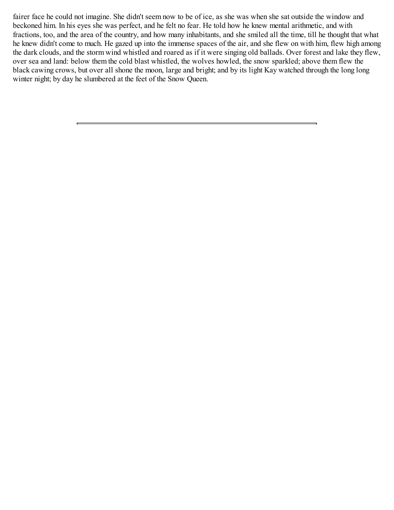fairer face he could not imagine. She didn't seem now to be of ice, as she was when she sat outside the window and beckoned him. In his eyes she was perfect, and he felt no fear. He told how he knew mental arithmetic, and with fractions, too, and the area of the country, and how many inhabitants, and she smiled all the time, till he thought that what he knew didn't come to much. He gazed up into the immense spaces of the air, and she flew on with him, flew high among the dark clouds, and the storm wind whistled and roared as if it were singing old ballads. Over forest and lake they flew, over sea and land: below them the cold blast whistled, the wolves howled, the snow sparkled; above them flew the black cawing crows, but over all shone the moon, large and bright; and by its light Kay watched through the long long winter night; by day he slumbered at the feet of the Snow Queen.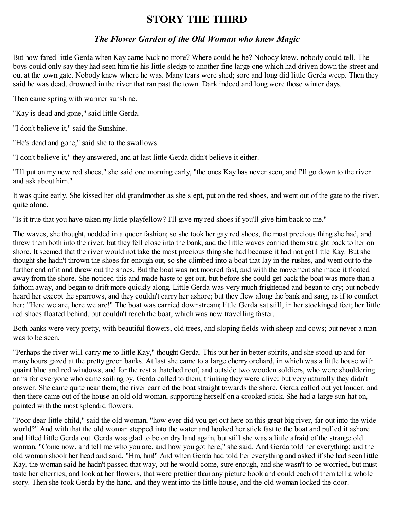### **STORY THE THIRD**

#### *The Flower Garden of the Old Woman who knew Magic*

But how fared little Gerda when Kay came back no more? Where could he be? Nobody knew, nobody could tell. The boys could only say they had seen him tie his little sledge to another fine large one which had driven down the street and out at the town gate. Nobody knew where he was. Many tears were shed; sore and long did little Gerda weep. Then they said he was dead, drowned in the river that ran past the town. Dark indeed and long were those winter days.

Then came spring with warmer sunshine.

"Kay is dead and gone," said little Gerda.

"I don't believe it," said the Sunshine.

"He's dead and gone," said she to the swallows.

"I don't believe it," they answered, and at last little Gerda didn't believe it either.

"I'll put on my new red shoes," she said one morning early, "the ones Kay has never seen, and I'll go down to the river and ask about him."

It was quite early. She kissed her old grandmother as she slept, put on the red shoes, and went out of the gate to the river, quite alone.

"Is it true that you have taken my little playfellow? I'll give my red shoes if you'll give him back to me."

The waves, she thought, nodded in a queer fashion; so she took her gay red shoes, the most precious thing she had, and threw them both into the river, but they fell close into the bank, and the little waves carried them straight back to her on shore. It seemed that the river would not take the most precious thing she had because it had not got little Kay. But she thought she hadn't thrown the shoes far enough out, so she climbed into a boat that lay in the rushes, and went out to the further end of it and threw out the shoes. But the boat was not moored fast, and with the movement she made it floated away from the shore. She noticed this and made haste to get out, but before she could get back the boat was more than a fathom away, and began to drift more quickly along. Little Gerda was very much frightened and began to cry; but nobody heard her except the sparrows, and they couldn't carry her ashore; but they flew along the bank and sang, as if to comfort her: "Here we are, here we are!" The boat was carried downstream; little Gerda sat still, in her stockinged feet; her little red shoes floated behind, but couldn't reach the boat, which was now travelling faster.

Both banks were very pretty, with beautiful flowers, old trees, and sloping fields with sheep and cows; but never a man was to be seen.

"Perhaps the river will carry me to little Kay," thought Gerda. This put her in better spirits, and she stood up and for many hours gazed at the pretty green banks. At last she came to a large cherry orchard, in which was a little house with quaint blue and red windows, and for the rest a thatched roof, and outside two wooden soldiers, who were shouldering arms for everyone who came sailing by. Gerda called to them, thinking they were alive: but very naturally they didn't answer. She came quite near them; the river carried the boat straight towards the shore. Gerda called out yet louder, and then there came out of the house an old old woman, supporting herself on a crooked stick. She had a large sun-hat on, painted with the most splendid flowers.

"Poor dear little child," said the old woman, "how ever did you get out here on this great big river, far out into the wide world?" And with that the old woman stepped into the water and hooked her stick fast to the boat and pulled it ashore and lifted little Gerda out. Gerda was glad to be on dry land again, but still she was a little afraid of the strange old woman. "Come now, and tell me who you are, and how you got here," she said. And Gerda told her everything; and the old woman shook her head and said, "Hm, hm!" And when Gerda had told her everything and asked if she had seen little Kay, the woman said he hadn't passed that way, but he would come, sure enough, and she wasn't to be worried, but must taste her cherries, and look at her flowers, that were prettier than any picture book and could each of them tell a whole story. Then she took Gerda by the hand, and they went into the little house, and the old woman locked the door.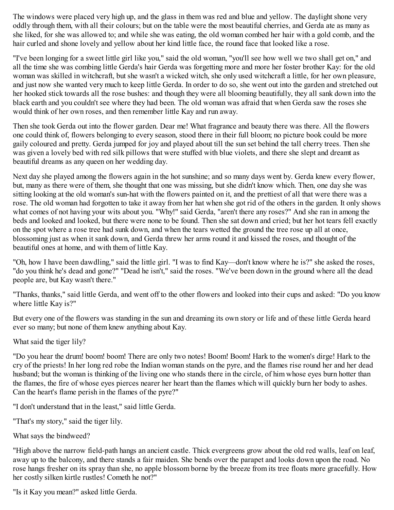The windows were placed very high up, and the glass in them was red and blue and yellow. The daylight shone very oddly through them, with all their colours; but on the table were the most beautiful cherries, and Gerda ate as many as she liked, for she was allowed to; and while she was eating, the old woman combed her hair with a gold comb, and the hair curled and shone lovely and yellow about her kind little face, the round face that looked like a rose.

"I've been longing for a sweet little girl like you," said the old woman, "you'll see how well we two shall get on," and all the time she was combing little Gerda's hair Gerda was forgetting more and more her foster brother Kay: for the old woman was skilled in witchcraft, but she wasn't a wicked witch, she only used witchcraft a little, for her own pleasure, and just now she wanted very much to keep little Gerda. In order to do so, she went out into the garden and stretched out her hooked stick towards all the rose bushes: and though they were all blooming beautifully, they all sank down into the black earth and you couldn't see where they had been. The old woman was afraid that when Gerda saw the roses she would think of her own roses, and then remember little Kay and run away.

Then she took Gerda out into the flower garden. Dear me! What fragrance and beauty there was there. All the flowers one could think of, flowers belonging to every season, stood there in their full bloom; no picture book could be more gaily coloured and pretty. Gerda jumped for joy and played about till the sun set behind the tall cherry trees. Then she was given a lovely bed with red silk pillows that were stuffed with blue violets, and there she slept and dreamt as beautiful dreams as any queen on her wedding day.

Next day she played among the flowers again in the hot sunshine; and so many days went by. Gerda knew every flower, but, many as there were of them, she thought that one was missing, but she didn't know which. Then, one day she was sitting looking at the old woman's sun-hat with the flowers painted on it, and the prettiest of all that were there was a rose. The old woman had forgotten to take it away from her hat when she got rid of the others in the garden. It only shows what comes of not having your wits about you. "Why!" said Gerda, "aren't there any roses?" And she ran in among the beds and looked and looked, but there were none to be found. Then she sat down and cried; but her hot tears fell exactly on the spot where a rose tree had sunk down, and when the tears wetted the ground the tree rose up all at once, blossoming just as when it sank down, and Gerda threw her arms round it and kissed the roses, and thought of the beautiful ones at home, and with them of little Kay.

"Oh, how I have been dawdling," said the little girl. "I was to find Kay—don't know where he is?" she asked the roses, "do you think he's dead and gone?" "Dead he isn't," said the roses. "We've been down in the ground where all the dead people are, but Kay wasn't there."

"Thanks, thanks," said little Gerda, and went off to the other flowers and looked into their cups and asked: "Do you know where little Kay is?"

But every one of the flowers was standing in the sun and dreaming its own story or life and of these little Gerda heard ever so many; but none of them knew anything about Kay.

What said the tiger lily?

"Do you hear the drum! boom! boom! There are only two notes! Boom! Boom! Hark to the women's dirge! Hark to the cry of the priests! In her long red robe the Indian woman stands on the pyre, and the flames rise round her and her dead husband; but the woman is thinking of the living one who stands there in the circle, of him whose eyes burn hotter than the flames, the fire of whose eyes pierces nearer her heart than the flames which will quickly burn her body to ashes. Can the heart's flame perish in the flames of the pyre?"

"I don't understand that in the least," said little Gerda.

"That's my story," said the tiger lily.

What says the bindweed?

"High above the narrow field-path hangs an ancient castle. Thick evergreens grow about the old red walls, leaf on leaf, away up to the balcony, and there stands a fair maiden. She bends over the parapet and looks down upon the road. No rose hangs fresher on its spray than she, no apple blossom borne by the breeze from its tree floats more gracefully. How her costly silken kirtle rustles! Cometh he not?"

"Is it Kay you mean?" asked little Gerda.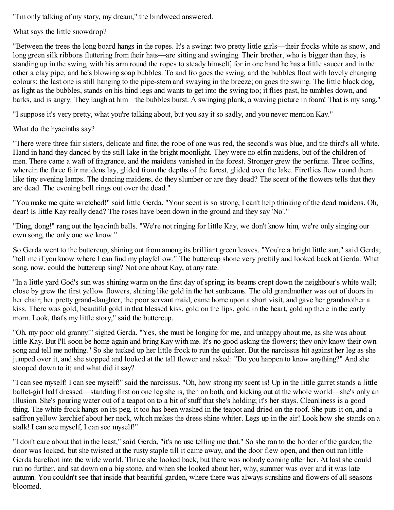"I'm only talking of my story, my dream," the bindweed answered.

What says the little snowdrop?

"Between the trees the long board hangs in the ropes. It's a swing: two pretty little girls—their frocks white as snow, and long green silk ribbons fluttering from their hats—are sitting and swinging. Their brother, who is bigger than they, is standing up in the swing, with his arm round the ropes to steady himself, for in one hand he has a little saucer and in the other a clay pipe, and he's blowing soap bubbles. To and fro goes the swing, and the bubbles float with lovely changing colours; the last one is still hanging to the pipe-stem and swaying in the breeze; on goes the swing. The little black dog, as light as the bubbles, stands on his hind legs and wants to get into the swing too; it flies past, he tumbles down, and barks, and is angry. They laugh at him—the bubbles burst. A swinging plank, a waving picture in foam! That is my song."

"I suppose it's very pretty, what you're talking about, but you say it so sadly, and you never mention Kay."

What do the hyacinths say?

"There were three fair sisters, delicate and fine; the robe of one was red, the second's was blue, and the third's all white. Hand in hand they danced by the still lake in the bright moonlight. They were no elfin maidens, but of the children of men. There came a waft of fragrance, and the maidens vanished in the forest. Stronger grew the perfume. Three coffins, wherein the three fair maidens lay, glided from the depths of the forest, glided over the lake. Fireflies flew round them like tiny evening lamps. The dancing maidens, do they slumber or are they dead? The scent of the flowers tells that they are dead. The evening bell rings out over the dead."

"You make me quite wretched!" said little Gerda. "Your scent is so strong, I can't help thinking of the dead maidens. Oh, dear! Is little Kay really dead? The roses have been down in the ground and they say 'No'."

"Ding, dong!" rang out the hyacinth bells. "We're not ringing for little Kay, we don't know him, we're only singing our own song, the only one we know."

So Gerda went to the buttercup, shining out from among its brilliant green leaves. "You're a bright little sun," said Gerda; "tell me if you know where I can find my playfellow." The buttercup shone very prettily and looked back at Gerda. What song, now, could the buttercup sing? Not one about Kay, at any rate.

"In a little yard God's sun was shining warm on the first day of spring; its beams crept down the neighbour's white wall; close by grew the first yellow flowers, shining like gold in the hot sunbeams. The old grandmother was out of doors in her chair; her pretty grand-daughter, the poor servant maid, came home upon a short visit, and gave her grandmother a kiss. There was gold, beautiful gold in that blessed kiss, gold on the lips, gold in the heart, gold up there in the early morn. Look, that's my little story," said the buttercup.

"Oh, my poor old granny!" sighed Gerda. "Yes, she must be longing for me, and unhappy about me, as she was about little Kay. But I'll soon be home again and bring Kay with me. It's no good asking the flowers; they only know their own song and tell me nothing." So she tucked up her little frock to run the quicker. But the narcissus hit against her leg as she jumped over it, and she stopped and looked at the tall flower and asked: "Do you happen to know anything?" And she stooped down to it; and what did it say?

"I can see myself! I can see myself!" said the narcissus. "Oh, how strong my scent is! Up in the little garret stands a little ballet-girl half dressed—standing first on one leg she is, then on both, and kicking out at the whole world—she's only an illusion. She's pouring water out of a teapot on to a bit of stuff that she's holding; it's her stays. Cleanliness is a good thing. The white frock hangs on its peg, it too has been washed in the teapot and dried on the roof. She puts it on, and a saffron yellow kerchief about her neck, which makes the dress shine whiter. Legs up in the air! Look how she stands on a stalk! I can see myself, I can see myself!"

"I don't care about that in the least," said Gerda, "it's no use telling me that." So she ran to the border of the garden; the door was locked, but she twisted at the rusty staple till it came away, and the door flew open, and then out ran little Gerda barefoot into the wide world. Thrice she looked back, but there was nobody coming after her. At last she could run no further, and sat down on a big stone, and when she looked about her, why, summer was over and it was late autumn. You couldn't see that inside that beautiful garden, where there was always sunshine and flowers of all seasons bloomed.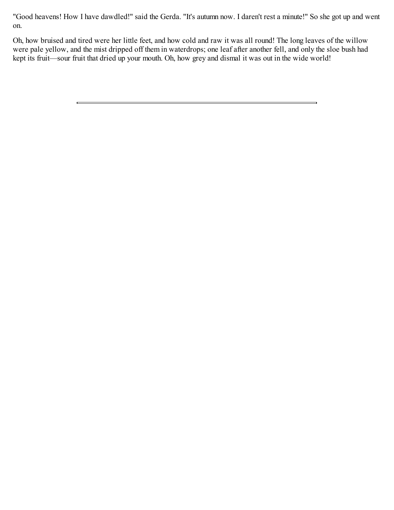"Good heavens! How I have dawdled!" said the Gerda. "It's autumn now. I daren't rest a minute!" So she got up and went on.

Oh, how bruised and tired were her little feet, and how cold and raw it was all round! The long leaves of the willow were pale yellow, and the mist dripped off them in waterdrops; one leaf after another fell, and only the sloe bush had kept its fruit—sour fruit that dried up your mouth. Oh, how grey and dismal it was out in the wide world!

 $\blacksquare$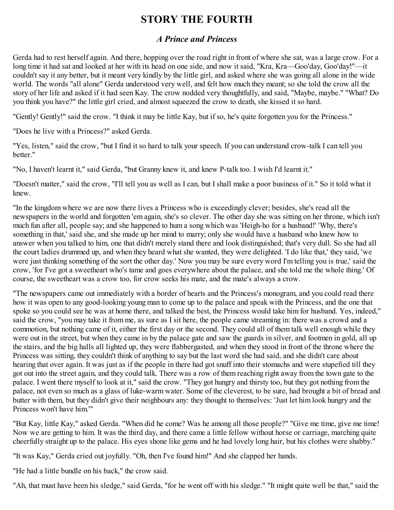# **STORY THE FOURTH**

### *A Prince and Princess*

Gerda had to rest herself again. And there, hopping over the road right in front of where she sat, was a large crow. For a long time it had sat and looked at her with its head on one side, and now it said, "Kra, Kra—Goo'day, Goo'day!"—it couldn't say it any better, but it meant very kindly by the little girl, and asked where she was going all alone in the wide world. The words "all alone" Gerda understood very well, and felt how much they meant; so she told the crow all the story of her life and asked if it had seen Kay. The crow nodded very thoughtfully, and said, "Maybe, maybe." "What? Do you think you have?" the little girl cried, and almost squeezed the crow to death, she kissed it so hard.

"Gently! Gently!" said the crow. "I think it may be little Kay, but if so, he's quite forgotten you for the Princess."

"Does he live with a Princess?" asked Gerda.

"Yes, listen," said the crow, "but I find it so hard to talk your speech. If you can understand crow-talk I can tell you better."

"No, I haven't learnt it," said Gerda, "but Granny knew it, and knew P-talk too. I wish I'd learnt it."

"Doesn't matter," said the crow, "I'll tell you as well as I can, but I shall make a poor business of it." So it told what it knew.

"In the kingdom where we are now there lives a Princess who is exceedingly clever; besides, she's read all the newspapers in the world and forgotten 'em again, she's so clever. The other day she was sitting on her throne, which isn't much fun after all, people say; and she happened to hum a song which was 'Heigh-ho for a husband!' 'Why, there's something in that,' said she, and she made up her mind to marry; only she would have a husband who knew how to answer when you talked to him, one that didn't merely stand there and look distinguished; that's very dull. So she had all the court ladies drummed up, and when they heard what she wanted, they were delighted. 'I do like that,' they said, 'we were just thinking something of the sort the other day.' Now you may be sure every word I'm telling you is true,' said the crow, 'for I've got a sweetheart who's tame and goes everywhere about the palace, and she told me the whole thing.' Of course, the sweetheart was a crow too, for crow seeks his mate, and the mate's always a crow.

"The newspapers came out immediately with a border of hearts and the Princess's monogram, and you could read there how it was open to any good-looking young man to come up to the palace and speak with the Princess, and the one that spoke so you could see he was at home there, and talked the best, the Princess would take him for husband. Yes, indeed," said the crow, "you may take it from me, as sure as I sit here, the people came streaming in: there was a crowd and a commotion, but nothing came of it, either the first day or the second. They could all of them talk well enough while they were out in the street, but when they came in by the palace gate and saw the guards in silver, and footmen in gold, all up the stairs, and the big halls all lighted up, they were flabbergasted, and when they stood in front of the throne where the Princess was sitting, they couldn't think of anything to say but the last word she had said, and she didn't care about hearing that over again. It was just as if the people in there had got snuff into their stomachs and were stupefied till they got out into the street again, and they could talk. There was a row of them reaching right away from the town gate to the palace. I went there myself to look at it," said the crow. "They got hungry and thirsty too, but they got nothing from the palace, not even so much as a glass of luke-warm water. Some of the cleverest, to be sure, had brought a bit of bread and butter with them, but they didn't give their neighbours any: they thought to themselves: 'Just let him look hungry and the Princess won't have him.'"

"But Kay, little Kay," asked Gerda. "When did he come? Was he among all those people?" "Give me time, give me time! Now we are getting to him. It was the third day, and there came a little fellow without horse or carriage, marching quite cheerfully straight up to the palace. His eyes shone like gems and he had lovely long hair, but his clothes were shabby."

"It was Kay," Gerda cried out joyfully. "Oh, then I've found him!" And she clapped her hands.

"He had a little bundle on his back," the crow said.

"Ah, that must have been his sledge," said Gerda, "for he went off with his sledge." "It might quite well be that," said the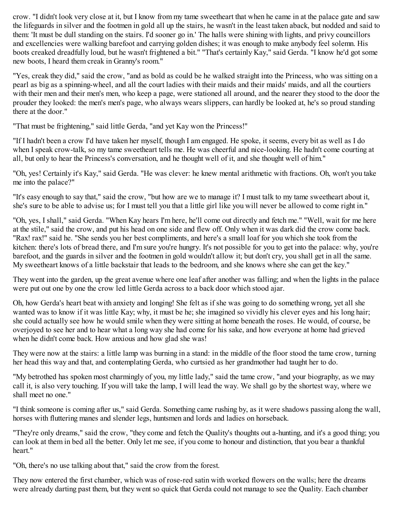crow. "I didn't look very close at it, but I know from my tame sweetheart that when he came in at the palace gate and saw the lifeguards in silver and the footmen in gold all up the stairs, he wasn't in the least taken aback, but nodded and said to them: 'It must be dull standing on the stairs. I'd sooner go in.' The halls were shining with lights, and privy councillors and excellencies were walking barefoot and carrying golden dishes; it was enough to make anybody feel solemn. His boots creaked dreadfully loud, but he wasn't frightened a bit." "That's certainly Kay," said Gerda. "I know he'd got some new boots, I heard them creak in Granny's room."

"Yes, creak they did," said the crow, "and as bold as could be he walked straight into the Princess, who was sitting on a pearl as big as a spinning-wheel, and all the court ladies with their maids and their maids' maids, and all the courtiers with their men and their men's men, who keep a page, were stationed all around, and the nearer they stood to the door the prouder they looked: the men's men's page, who always wears slippers, can hardly be looked at, he's so proud standing there at the door."

"That must be frightening," said little Gerda, "and yet Kay won the Princess!"

"If I hadn't been a crow I'd have taken her myself, though I am engaged. He spoke, it seems, every bit as well as I do when I speak crow-talk, so my tame sweetheart tells me. He was cheerful and nice-looking. He hadn't come courting at all, but only to hear the Princess's conversation, and he thought well of it, and she thought well of him."

"Oh, yes! Certainly it's Kay," said Gerda. "He was clever: he knew mental arithmetic with fractions. Oh, won't you take me into the palace?"

"It's easy enough to say that," said the crow, "but how are we to manage it? I must talk to my tame sweetheart about it, she's sure to be able to advise us; for I must tell you that a little girl like you will never be allowed to come right in."

"Oh, yes, I shall," said Gerda. "When Kay hears I'm here, he'll come out directly and fetch me." "Well, wait for me here at the stile," said the crow, and put his head on one side and flew off. Only when it was dark did the crow come back. "Rax! rax!" said he. "She sends you her best compliments, and here's a small loaf for you which she took from the kitchen: there's lots of bread there, and I'm sure you're hungry. It's not possible for you to get into the palace: why, you're barefoot, and the guards in silver and the footmen in gold wouldn't allow it; but don't cry, you shall get in all the same. My sweetheart knows of a little backstair that leads to the bedroom, and she knows where she can get the key."

They went into the garden, up the great avenue where one leaf after another was falling; and when the lights in the palace were put out one by one the crow led little Gerda across to a back door which stood ajar.

Oh, how Gerda's heart beat with anxiety and longing! She felt as if she was going to do something wrong, yet all she wanted was to know if it was little Kay; why, it must be he; she imagined so vividly his clever eyes and his long hair; she could actually see how he would smile when they were sitting at home beneath the roses. He would, of course, be overjoyed to see her and to hear what a long way she had come for his sake, and how everyone at home had grieved when he didn't come back. How anxious and how glad she was!

They were now at the stairs: a little lamp was burning in a stand: in the middle of the floor stood the tame crow, turning her head this way and that, and contemplating Gerda, who curtsied as her grandmother had taught her to do.

"My betrothed has spoken most charmingly of you, my little lady," said the tame crow, "and your biography, as we may call it, is also very touching. If you will take the lamp, I will lead the way. We shall go by the shortest way, where we shall meet no one."

"I think someone is coming after us," said Gerda. Something came rushing by, as it were shadows passing along the wall, horses with fluttering manes and slender legs, huntsmen and lords and ladies on horseback.

"They're only dreams," said the crow, "they come and fetch the Quality's thoughts out a-hunting, and it's a good thing; you can look at them in bed all the better. Only let me see, if you come to honour and distinction, that you bear a thankful heart."

"Oh, there's no use talking about that," said the crow from the forest.

They now entered the first chamber, which was of rose-red satin with worked flowers on the walls; here the dreams were already darting past them, but they went so quick that Gerda could not manage to see the Quality. Each chamber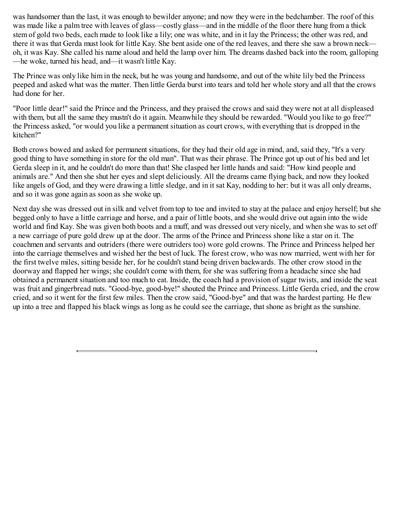was handsomer than the last, it was enough to bewilder anyone; and now they were in the bedchamber. The roof of this was made like a palm tree with leaves of glass—costly glass—and in the middle of the floor there hung from a thick stem of gold two beds, each made to look like a lily; one was white, and in it lay the Princess; the other was red, and there it was that Gerda must look for little Kay. She bent aside one of the red leaves, and there she saw a brown neck oh, it was Kay. She called his name aloud and held the lamp over him. The dreams dashed back into the room, galloping —he woke, turned his head, and—it wasn't little Kay.

The Prince was only like him in the neck, but he was young and handsome, and out of the white lily bed the Princess peeped and asked what was the matter. Then little Gerda burst into tears and told her whole story and all that the crows had done for her.

"Poor little dear!" said the Prince and the Princess, and they praised the crows and said they were not at all displeased with them, but all the same they mustn't do it again. Meanwhile they should be rewarded. "Would you like to go free?" the Princess asked, "or would you like a permanent situation as court crows, with everything that is dropped in the kitchen?"

Both crows bowed and asked for permanent situations, for they had their old age in mind, and, said they, "It's a very good thing to have something in store for the old man". That was their phrase. The Prince got up out of his bed and let Gerda sleep in it, and he couldn't do more than that! She clasped her little hands and said: "How kind people and animals are." And then she shut her eyes and slept deliciously. All the dreams came flying back, and now they looked like angels of God, and they were drawing a little sledge, and in it sat Kay, nodding to her: but it was all only dreams, and so it was gone again as soon as she woke up.

Next day she was dressed out in silk and velvet from top to toe and invited to stay at the palace and enjoy herself; but she begged only to have a little carriage and horse, and a pair of little boots, and she would drive out again into the wide world and find Kay. She was given both boots and a muff, and was dressed out very nicely, and when she was to set off a new carriage of pure gold drew up at the door. The arms of the Prince and Princess shone like a star on it. The coachmen and servants and outriders (there were outriders too) wore gold crowns. The Prince and Princess helped her into the carriage themselves and wished her the best of luck. The forest crow, who was now married, went with her for the first twelve miles, sitting beside her, for he couldn't stand being driven backwards. The other crow stood in the doorway and flapped her wings; she couldn't come with them, for she was suffering from a headache since she had obtained a permanent situation and too much to eat. Inside, the coach had a provision of sugar twists, and inside the seat was fruit and gingerbread nuts. "Good-bye, good-bye!" shouted the Prince and Princess. Little Gerda cried, and the crow cried, and so it went for the first few miles. Then the crow said, "Good-bye" and that was the hardest parting. He flew up into a tree and flapped his black wings as long as he could see the carriage, that shone as bright as the sunshine.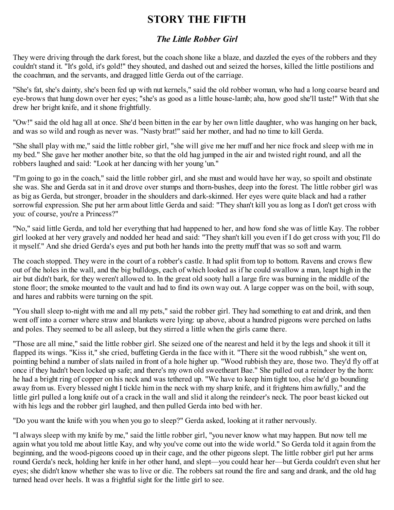# **STORY THE FIFTH**

### *The Little Robber Girl*

They were driving through the dark forest, but the coach shone like a blaze, and dazzled the eyes of the robbers and they couldn't stand it. "It's gold, it's gold!" they shouted, and dashed out and seized the horses, killed the little postilions and the coachman, and the servants, and dragged little Gerda out of the carriage.

"She's fat, she's dainty, she's been fed up with nut kernels," said the old robber woman, who had a long coarse beard and eye-brows that hung down over her eyes; "she's as good as a little house-lamb; aha, how good she'll taste!" With that she drew her bright knife, and it shone frightfully.

"Ow!" said the old hag all at once. She'd been bitten in the ear by her own little daughter, who was hanging on her back, and was so wild and rough as never was. "Nasty brat!" said her mother, and had no time to kill Gerda.

"She shall play with me," said the little robber girl, "she will give me her muff and her nice frock and sleep with me in my bed." She gave her mother another bite, so that the old hag jumped in the air and twisted right round, and all the robbers laughed and said: "Look at her dancing with her young 'un."

"I'm going to go in the coach," said the little robber girl, and she must and would have her way, so spoilt and obstinate she was. She and Gerda sat in it and drove over stumps and thorn-bushes, deep into the forest. The little robber girl was as big as Gerda, but stronger, broader in the shoulders and dark-skinned. Her eyes were quite black and had a rather sorrowful expression. She put her arm about little Gerda and said: "They shan't kill you as long as I don't get cross with you: of course, you're a Princess?"

"No," said little Gerda, and told her everything that had happened to her, and how fond she was of little Kay. The robber girl looked at her very gravely and nodded her head and said: "They shan't kill you even if I do get cross with you; I'll do it myself." And she dried Gerda's eyes and put both her hands into the pretty muff that was so soft and warm.

The coach stopped. They were in the court of a robber's castle. It had split from top to bottom. Ravens and crows flew out of the holes in the wall, and the big bulldogs, each of which looked as if he could swallow a man, leapt high in the air but didn't bark, for they weren't allowed to. In the great old sooty hall a large fire was burning in the middle of the stone floor; the smoke mounted to the vault and had to find its own way out. A large copper was on the boil, with soup, and hares and rabbits were turning on the spit.

"You shall sleep to-night with me and all my pets," said the robber girl. They had something to eat and drink, and then went off into a corner where straw and blankets were lying: up above, about a hundred pigeons were perched on laths and poles. They seemed to be all asleep, but they stirred a little when the girls came there.

"Those are all mine," said the little robber girl. She seized one of the nearest and held it by the legs and shook it till it flapped its wings. "Kiss it," she cried, buffeting Gerda in the face with it. "There sit the wood rubbish," she went on, pointing behind a number of slats nailed in front of a hole higher up. "Wood rubbish they are, those two. They'd fly off at once if they hadn't been locked up safe; and there's my own old sweetheart Bae." She pulled out a reindeer by the horn: he had a bright ring of copper on his neck and was tethered up. "We have to keep him tight too, else he'd go bounding away from us. Every blessed night I tickle him in the neck with my sharp knife, and it frightens him awfully," and the little girl pulled a long knife out of a crack in the wall and slid it along the reindeer's neck. The poor beast kicked out with his legs and the robber girl laughed, and then pulled Gerda into bed with her.

"Do you want the knife with you when you go to sleep?" Gerda asked, looking at it rather nervously.

"I always sleep with my knife by me," said the little robber girl, "you never know what may happen. But now tell me again what you told me about little Kay, and why you've come out into the wide world." So Gerda told it again from the beginning, and the wood-pigeons cooed up in their cage, and the other pigeons slept. The little robber girl put her arms round Gerda's neck, holding her knife in her other hand, and slept—you could hear her—but Gerda couldn't even shut her eyes; she didn't know whether she was to live or die. The robbers sat round the fire and sang and drank, and the old hag turned head over heels. It was a frightful sight for the little girl to see.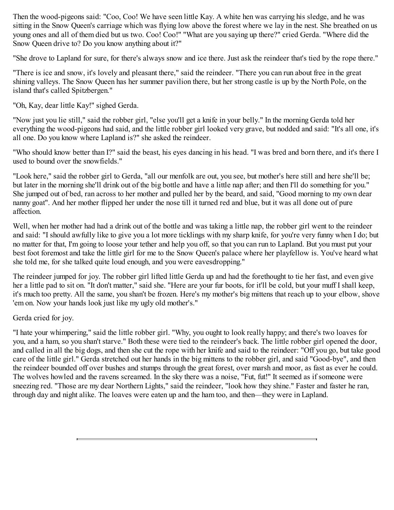Then the wood-pigeons said: "Coo, Coo! We have seen little Kay. A white hen was carrying his sledge, and he was sitting in the Snow Queen's carriage which was flying low above the forest where we lay in the nest. She breathed on us young ones and all of them died but us two. Coo! Coo!" "What are you saying up there?" cried Gerda. "Where did the Snow Queen drive to? Do you know anything about it?"

"She drove to Lapland for sure, for there's always snow and ice there. Just ask the reindeer that's tied by the rope there."

"There is ice and snow, it's lovely and pleasant there," said the reindeer. "There you can run about free in the great shining valleys. The Snow Queen has her summer pavilion there, but her strong castle is up by the North Pole, on the island that's called Spitzbergen."

"Oh, Kay, dear little Kay!" sighed Gerda.

"Now just you lie still," said the robber girl, "else you'll get a knife in your belly." In the morning Gerda told her everything the wood-pigeons had said, and the little robber girl looked very grave, but nodded and said: "It's all one, it's all one. Do you know where Lapland is?" she asked the reindeer.

"Who should know better than I?" said the beast, his eyes dancing in his head. "I was bred and born there, and it's there I used to bound over the snowfields."

"Look here," said the robber girl to Gerda, "all our menfolk are out, you see, but mother's here still and here she'll be; but later in the morning she'll drink out of the big bottle and have a little nap after; and then I'll do something for you." She jumped out of bed, ran across to her mother and pulled her by the beard, and said, "Good morning to my own dear nanny goat". And her mother flipped her under the nose till it turned red and blue, but it was all done out of pure affection.

Well, when her mother had had a drink out of the bottle and was taking a little nap, the robber girl went to the reindeer and said: "I should awfully like to give you a lot more ticklings with my sharp knife, for you're very funny when I do; but no matter for that, I'm going to loose your tether and help you off, so that you can run to Lapland. But you must put your best foot foremost and take the little girl for me to the Snow Queen's palace where her playfellow is. You've heard what she told me, for she talked quite loud enough, and you were eavesdropping."

The reindeer jumped for joy. The robber girl lifted little Gerda up and had the forethought to tie her fast, and even give her a little pad to sit on. "It don't matter," said she. "Here are your fur boots, for it'll be cold, but your muff I shall keep, it's much too pretty. All the same, you shan't be frozen. Here's my mother's big mittens that reach up to your elbow, shove 'em on. Now your hands look just like my ugly old mother's."

Gerda cried for joy.

"I hate your whimpering," said the little robber girl. "Why, you ought to look really happy; and there's two loaves for you, and a ham, so you shan't starve." Both these were tied to the reindeer's back. The little robber girl opened the door, and called in all the big dogs, and then she cut the rope with her knife and said to the reindeer: "Off you go, but take good care of the little girl." Gerda stretched out her hands in the big mittens to the robber girl, and said "Good-bye", and then the reindeer bounded off over bushes and stumps through the great forest, over marsh and moor, as fast as ever he could. The wolves howled and the ravens screamed. In the sky there was a noise, "Fut, fut!" It seemed as if someone were sneezing red. "Those are my dear Northern Lights," said the reindeer, "look how they shine." Faster and faster he ran, through day and night alike. The loaves were eaten up and the ham too, and then—they were in Lapland.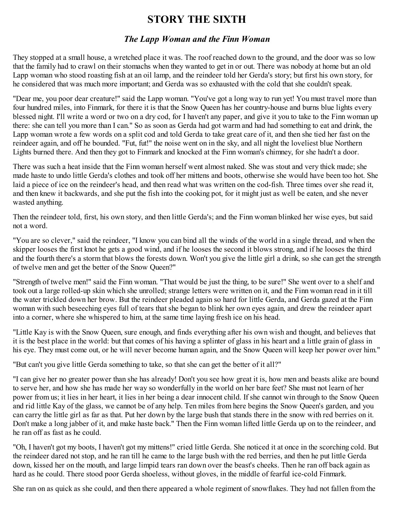### **STORY THE SIXTH**

#### *The Lapp Woman and the Finn Woman*

They stopped at a small house, a wretched place it was. The roof reached down to the ground, and the door was so low that the family had to crawl on their stomachs when they wanted to get in or out. There was nobody at home but an old Lapp woman who stood roasting fish at an oil lamp, and the reindeer told her Gerda's story; but first his own story, for he considered that was much more important; and Gerda was so exhausted with the cold that she couldn't speak.

"Dear me, you poor dear creature!" said the Lapp woman. "You've got a long way to run yet! You must travel more than four hundred miles, into Finmark, for there it is that the Snow Queen has her country-house and burns blue lights every blessed night. I'll write a word or two on a dry cod, for I haven't any paper, and give it you to take to the Finn woman up there: she can tell you more than I can." So as soon as Gerda had got warm and had had something to eat and drink, the Lapp woman wrote a few words on a split cod and told Gerda to take great care of it, and then she tied her fast on the reindeer again, and off he bounded. "Fut, fut!" the noise went on in the sky, and all night the loveliest blue Northern Lights burned there. And then they got to Finmark and knocked at the Finn woman's chimney, for she hadn't a door.

There was such a heat inside that the Finn woman herself went almost naked. She was stout and very thick made; she made haste to undo little Gerda's clothes and took off her mittens and boots, otherwise she would have been too hot. She laid a piece of ice on the reindeer's head, and then read what was written on the cod-fish. Three times over she read it, and then knew it backwards, and she put the fish into the cooking pot, for it might just as well be eaten, and she never wasted anything.

Then the reindeer told, first, his own story, and then little Gerda's; and the Finn woman blinked her wise eyes, but said not a word.

"You are so clever," said the reindeer, "I know you can bind all the winds of the world in a single thread, and when the skipper looses the first knot he gets a good wind, and if he looses the second it blows strong, and if he looses the third and the fourth there's a storm that blows the forests down. Won't you give the little girl a drink, so she can get the strength of twelve men and get the better of the Snow Queen?"

"Strength of twelve men!" said the Finn woman. "That would be just the thing, to be sure!" She went over to a shelf and took out a large rolled-up skin which she unrolled; strange letters were written on it, and the Finn woman read in it till the water trickled down her brow. But the reindeer pleaded again so hard for little Gerda, and Gerda gazed at the Finn woman with such beseeching eyes full of tears that she began to blink her own eyes again, and drew the reindeer apart into a corner, where she whispered to him, at the same time laying fresh ice on his head.

"Little Kay is with the Snow Queen, sure enough, and finds everything after his own wish and thought, and believes that it is the best place in the world: but that comes of his having a splinter of glass in his heart and a little grain of glass in his eye. They must come out, or he will never become human again, and the Snow Queen will keep her power over him."

"But can't you give little Gerda something to take, so that she can get the better of it all?"

"I can give her no greater power than she has already! Don't you see how great it is, how men and beasts alike are bound to serve her, and how she has made her way so wonderfully in the world on her bare feet? She must not learn of her power from us; it lies in her heart, it lies in her being a dear innocent child. If she cannot win through to the Snow Queen and rid little Kay of the glass, we cannot be of any help. Ten miles from here begins the Snow Queen's garden, and you can carry the little girl as far as that. Put her down by the large bush that stands there in the snow with red berries on it. Don't make a long jabber of it, and make haste back." Then the Finn woman lifted little Gerda up on to the reindeer, and he ran off as fast as he could.

"Oh, I haven't got my boots, I haven't got my mittens!" cried little Gerda. She noticed it at once in the scorching cold. But the reindeer dared not stop, and he ran till he came to the large bush with the red berries, and then he put little Gerda down, kissed her on the mouth, and large limpid tears ran down over the beast's cheeks. Then he ran off back again as hard as he could. There stood poor Gerda shoeless, without gloves, in the middle of fearful ice-cold Finmark.

She ran on as quick as she could, and then there appeared a whole regiment of snowflakes. They had not fallen from the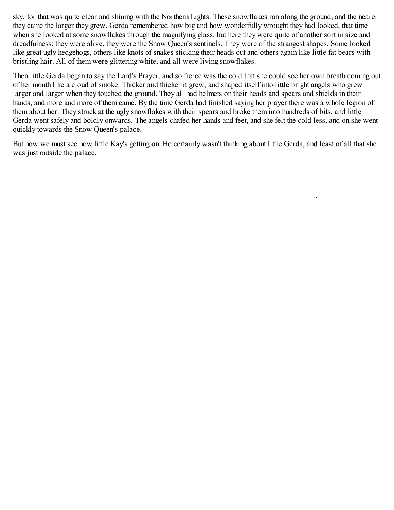sky, for that was quite clear and shining with the Northern Lights. These snowflakes ran along the ground, and the nearer they came the larger they grew. Gerda remembered how big and how wonderfully wrought they had looked, that time when she looked at some snowflakes through the magnifying glass; but here they were quite of another sort in size and dreadfulness; they were alive, they were the Snow Queen's sentinels. They were of the strangest shapes. Some looked like great ugly hedgehogs, others like knots of snakes sticking their heads out and others again like little fat bears with bristling hair. All of them were glittering white, and all were living snowflakes.

Then little Gerda began to say the Lord's Prayer, and so fierce was the cold that she could see her own breath coming out of her mouth like a cloud of smoke. Thicker and thicker it grew, and shaped itself into little bright angels who grew larger and larger when they touched the ground. They all had helmets on their heads and spears and shields in their hands, and more and more of them came. By the time Gerda had finished saying her prayer there was a whole legion of them about her. They struck at the ugly snowflakes with their spears and broke them into hundreds of bits, and little Gerda went safely and boldly onwards. The angels chafed her hands and feet, and she felt the cold less, and on she went quickly towards the Snow Queen's palace.

But now we must see how little Kay's getting on. He certainly wasn't thinking about little Gerda, and least of all that she was just outside the palace.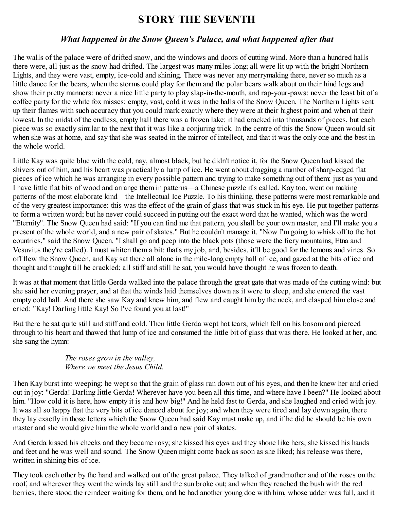### **STORY THE SEVENTH**

### *What happened in the Snow Queen's Palace, and what happened after that*

The walls of the palace were of drifted snow, and the windows and doors of cutting wind. More than a hundred halls there were, all just as the snow had drifted. The largest was many miles long; all were lit up with the bright Northern Lights, and they were vast, empty, ice-cold and shining. There was never any merrymaking there, never so much as a little dance for the bears, when the storms could play for them and the polar bears walk about on their hind legs and show their pretty manners: never a nice little party to play slap-in-the-mouth, and rap-your-paws: never the least bit of a coffee party for the white fox misses: empty, vast, cold it was in the halls of the Snow Queen. The Northern Lights sent up their flames with such accuracy that you could mark exactly where they were at their highest point and when at their lowest. In the midst of the endless, empty hall there was a frozen lake: it had cracked into thousands of pieces, but each piece was so exactly similar to the next that it was like a conjuring trick. In the centre of this the Snow Queen would sit when she was at home, and say that she was seated in the mirror of intellect, and that it was the only one and the best in the whole world.

Little Kay was quite blue with the cold, nay, almost black, but he didn't notice it, for the Snow Queen had kissed the shivers out of him, and his heart was practically a lump of ice. He went about dragging a number of sharp-edged flat pieces of ice which he was arranging in every possible pattern and trying to make something out of them: just as you and I have little flat bits of wood and arrange them in patterns—a Chinese puzzle it's called. Kay too, went on making patterns of the most elaborate kind—the Intellectual Ice Puzzle. To his thinking, these patterns were most remarkable and of the very greatest importance: this was the effect of the grain of glass that was stuck in his eye. He put together patterns to form a written word; but he never could succeed in putting out the exact word that he wanted, which was the word "Eternity". The Snow Queen had said: "If you can find me that pattern, you shall be your own master, and I'll make you a present of the whole world, and a new pair of skates." But he couldn't manage it. "Now I'm going to whisk off to the hot countries," said the Snow Queen. "I shall go and peep into the black pots (those were the fiery mountains, Etna and Vesuvius they're called). I must whiten them a bit: that's my job, and, besides, it'll be good for the lemons and vines. So off flew the Snow Queen, and Kay sat there all alone in the mile-long empty hall of ice, and gazed at the bits of ice and thought and thought till he crackled; all stiff and still he sat, you would have thought he was frozen to death.

It was at that moment that little Gerda walked into the palace through the great gate that was made of the cutting wind: but she said her evening prayer, and at that the winds laid themselves down as it were to sleep, and she entered the vast empty cold hall. And there she saw Kay and knew him, and flew and caught him by the neck, and clasped him close and cried: "Kay! Darling little Kay! So I've found you at last!"

But there he sat quite still and stiff and cold. Then little Gerda wept hot tears, which fell on his bosom and pierced through to his heart and thawed that lump of ice and consumed the little bit of glass that was there. He looked at her, and she sang the hymn:

#### *The roses grow in the valley, Where we meet the Jesus Child.*

Then Kay burst into weeping: he wept so that the grain of glass ran down out of his eyes, and then he knew her and cried out in joy: "Gerda! Darling little Gerda! Wherever have you been all this time, and where have I been?" He looked about him. "How cold it is here, how empty it is and how big!" And he held fast to Gerda, and she laughed and cried with joy. It was all so happy that the very bits of ice danced about for joy; and when they were tired and lay down again, there they lay exactly in those letters which the Snow Queen had said Kay must make up, and if he did he should be his own master and she would give him the whole world and a new pair of skates.

And Gerda kissed his cheeks and they became rosy; she kissed his eyes and they shone like hers; she kissed his hands and feet and he was well and sound. The Snow Queen might come back as soon as she liked; his release was there, written in shining bits of ice.

They took each other by the hand and walked out of the great palace. They talked of grandmother and of the roses on the roof, and wherever they went the winds lay still and the sun broke out; and when they reached the bush with the red berries, there stood the reindeer waiting for them, and he had another young doe with him, whose udder was full, and it